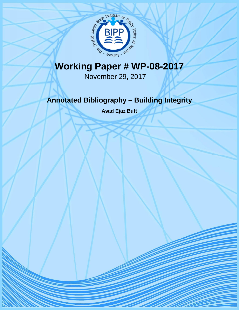

# **Working Paper # WP-08-2017**

November 29, 2017

# **Annotated Bibliography – Building Integrity**

**Asad Ejaz Butt**

1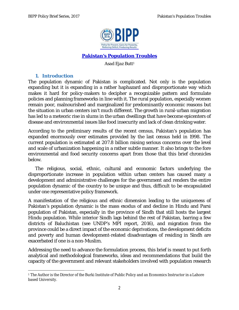

#### **Pakistan's Population Troubles**

*Asad Ejaz Butt<sup>1</sup>*

#### **1. Introduction**

The population dynamic of Pakistan is complicated. Not only is the population expanding but it is expanding in a rather haphazard and disproportionate way which makes it hard for policy-makers to decipher a recognizable pattern and formulate policies and planning frameworks in line with it. The rural population, especially women remain poor, malnourished and marginalized for predominantly economic reasons but the situation in urban centers isn't much different. The growth in rural-urban migration has led to a meteoric rise in slums in the urban dwellings that have become epicenters of disease and environmental issues like food insecurity and lack of clean drinking water.

According to the preliminary results of the recent census, Pakistan's population has expanded enormously over estimates provided by the last census held in 1998. The current population is estimated at 207.8 billion raising serious concerns over the level and scale of urbanization happening in a rather subtle manner. It also brings to the fore environmental and food security concerns apart from those that this brief chronicles below.

The religious, social, ethnic, cultural and economic factors underlying the disproportionate increase in population within urban centers has caused many a development and administrative challenges for the government and renders the entire population dynamic of the country to be unique and thus, difficult to be encapsulated under one representative policy framework.

A manifestation of the religious and ethnic dimension leading to the uniqueness of Pakistan's population dynamic is the mass exodus of and decline in Hindu and Parsi population of Pakistan, especially in the province of Sindh that still hosts the largest Hindu population. While interior Sindh lags behind the rest of Pakistan, barring a few districts of Baluchistan (see UNDP's MPI report, 2016), and migration from the province could be a direct impact of the economic deprivations, the development deficits and poverty and human development-related disadvantages of residing in Sindh are exacerbated if one is a non-Muslim.

Addressing the need to advance the formulation process, this brief is meant to put forth analytical and methodological frameworks, ideas and recommendations that build the capacity of the government and relevant stakeholders involved with population research

 $\overline{a}$ <sup>1</sup> The Author is the Director of the Burki Institute of Public Policy and an Economics Instructor in a Lahore based University.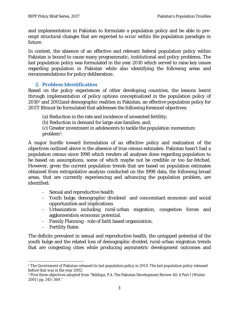and implementation in Pakistan to formulate a population policy and be able to preempt structural changes that are expected to occur within the population paradigm in future.

In context, the absence of an effective and relevant federal population policy within Pakistan is bound to cause many programmatic, institutional and policy problems. The last population policy was formulated in the year 2010 which served to raise key issues regarding population in Pakistan while also identifying the following areas and recommendations for policy deliberation:

#### **2. Problem Identification**

Based on the policy experiences of other developing countries, the lessons learnt through implementation of policy options conceptualized in the population policy of 2010<sup>2</sup> and 2002and demographic realities in Pakistan, an effective population policy for 2017/18must be formulated that addresses the following foremost objectives:

- (a) Reduction in the rate and incidence of unwanted fertility;
- (b) Reduction in demand for large-size families, and;
- (c) Greater investment in adolescents to tackle the population momentum problem3.

A major hurdle toward formulation of an effective policy and realization of the objectives outlined above is the absence of true census estimates. Pakistan hasn't had a population census since 1998 which renders all analyses done regarding population to be based on assumptions, some of which maybe not be credible or too far-fetched. However, given the current population trends that are based on population estimates obtained from extrapolative analysis conducted on the 1998 data, the following broad areas, that are currently experiencing and advancing the population problem, are identified:

- Sexual and reproductive health
- Youth bulge, demographic dividend and concomitant economic and social opportunities and implications
- Urbanization including rural-urban migration, congestion forces and agglomeration economic potential.
- Family Planning role of faith based organization.
- Fertility Rates

 $\overline{a}$ 

The deficits prevalent in sexual and reproductive health, the untapped potential of the youth bulge and the related loss of demographic divided, rural-urban migration trends that are congesting cities while producing asymmetric development outcomes and

<sup>2</sup> The Government of Pakistan released its last population policy in 2010. The last population policy released before that was in the year 2002.

<sup>3</sup> First three objectives adopted from "Siddiqui, F.A. The Pakistan Development Review 40: 4 Part I (Winter 2001) pp. 345–369."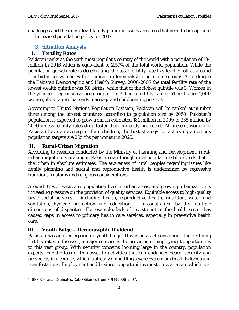challenges and the micro-level family planning issues are areas that need to be captured in the revised population policy for 2017.

#### **3. Situation Analysis**

## **I. Fertility Rates**

Pakistan ranks as the sixth most populous country of the world with a population of 194 million in 2016 which is equivalent to 2.57% of the total world population. While the population growth rate is decelerating, the total fertility rate has levelled off at around four births per woman, with significant differentials among income groups. According to the Pakistan Demographic and Health Survey, 2006-2007 the total fertility rate of the lowest wealth quintile was 5.8 births, while that of the richest quintile was 3. Women in the youngest reproductive age group of 15-19 had a fertility rate of 51 births per 1,000 women, illustrating that early marriage and childbearing persist<sup>4</sup>.

According to United Nations Population Division, Pakistan will be ranked at number three among the largest countries according to population size by 2050. Pakistan's population is expected to grow from an estimated 181 million in 2009 to 335 million by 2050 unless fertility rates drop faster than currently projected. At present, women in Pakistan have an average of four children, the best strategy for achieving ambitious population targets are 2 births per woman in 2025.

#### **II. Rural-Urban Migration**

According to research conducted by the Ministry of Planning and Development, ruralurban migration is peaking in Pakistan eventhough rural population still exceeds that of the urban in absolute estimates. The awareness of rural peoples regarding issues like family planning and sexual and reproductive health is undermined by regressive traditions, customs and religious considerations.

Around 37% of Pakistan's population lives in urban areas, and growing urbanization is increasing pressure on the provision of quality services. Equitable access to high-quality basic social services – including health, reproductive health, nutrition, water and sanitation, hygiene promotion and education  $-$  is constrained by the multiple dimensions of disparities. For example, lack of investment in the health sector has caused gaps in access to primary health care services, especially in preventive health care.

## **III. Youth Bulge – Demographic Dividend**

Pakistan has an ever-expanding youth bulge. This is an asset considering the declining fertility rates in the west, a major concern is the provision of employment opportunities to this vast group. With security concerns looming large in the country, population experts fear the loss of this asset to activities that can endanger peace, security and prosperity in a country which is already embattling severe extremism in all its forms and manifestations. Employment and business opportunities must grow at a rate which is at

 $\overline{\phantom{a}}$ <sup>4</sup> BIPP Research Estimates. Data Obtained from PDHS 2006-2007.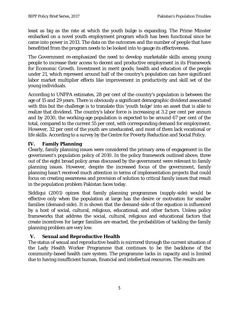least as big as the rate at which the youth bulge is expanding. The Prime Minster embarked on a novel youth employment program which has been functional since he came into power in 2013. The data on the outcomes and the number of people that have benefitted from the program needs to be looked into to gauge its effectiveness.

The Government re-emphasized the need to develop marketable skills among young people to increase their access to decent and productive employment in its Framework for Economic Growth. Investment in merit goods; health and education of the people under 21, which represent around half of the country's population can have significant labor market multiplier effects like improvement in productivity and skill set of the young individuals.

According to UNFPA estimates, 28 per cent of the country's population is between the age of 15 and 29 years. There is obviously a significant demographic dividend associated with this but the challenge is to translate this 'youth bulge' into an asset that is able to realize that dividend. The country's labor force is increasing at 3.2 per cent per annum and by 2030, the working-age population is expected to be around 67 per cent of the total, compared to the current 55 per cent, with corresponding demand for employment. However, 32 per cent of the youth are uneducated, and most of them lack vocational or life skills. According to a survey by the Centre for Poverty Reduction and Social Policy.

#### **IV. Family Planning**

Clearly, family planning issues were considered the primary area of engagement in the government's population policy of 2010. In the policy framework outlined above, three out of the eight broad policy areas discussed by the government were relevant to family planning issues. However, despite the increased focus of the government, family planning hasn't received much attention in terms of implementation projects that could focus on creating awareness and provision of solution to critical family issues that result in the population problem Pakistan faces today.

Siddiqui (2001) opines that family planning programmes (supply-side) would be effective only when the population at large has the desire or motivation for smaller families (demand-side). It is shown that the demand-side of the equation is influenced by a host of social, cultural, religious, educational, and other factors. Unless policy frameworks that address the social, cultural, religious and educational factors that create incentives for larger families are enacted, the probabilities of tackling the family planning problem are very low.

## **V. Sexual and Reproductive Health**

The status of sexual and reproductive health is mirrored through the current situation of the Lady Health Worker Programme that continues to be the backbone of the community-based health care system. The programme lacks in capacity and is limited due to having insufficient human, financial and intellectual resources. The results are: